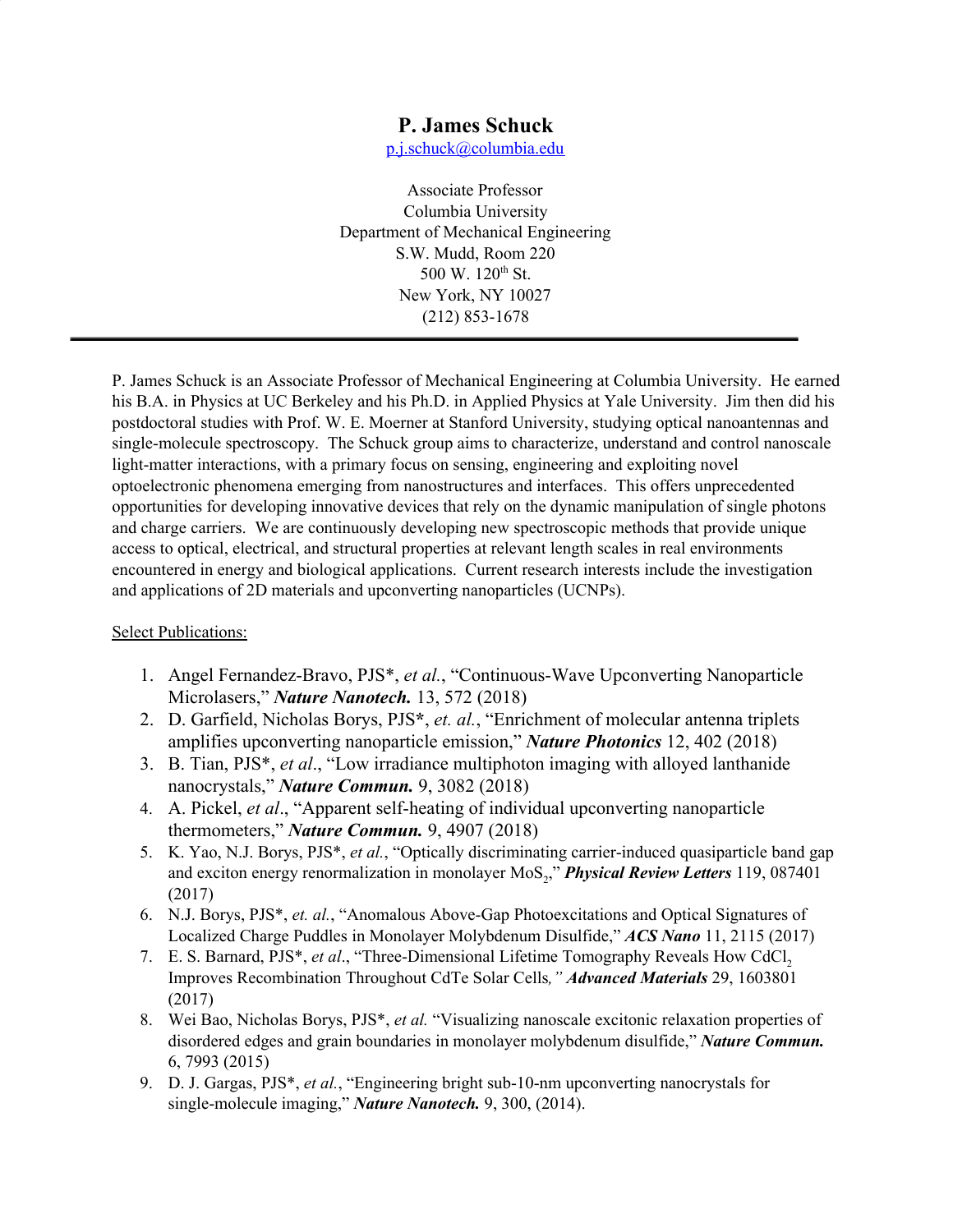## **P. James Schuck**

[p.j.schuck@columbia.edu](mailto:p.j.schuck@columbia.edu)

Associate Professor Columbia University Department of Mechanical Engineering S.W. Mudd, Room 220 500 W. 120<sup>th</sup> St. New York, NY 10027 (212) 853-1678

P. James Schuck is an Associate Professor of Mechanical Engineering at Columbia University. He earned his B.A. in Physics at UC Berkeley and his Ph.D. in Applied Physics at Yale University. Jim then did his postdoctoral studies with Prof. W. E. Moerner at Stanford University, studying optical nanoantennas and single-molecule spectroscopy. The Schuck group aims to characterize, understand and control nanoscale light-matter interactions, with a primary focus on sensing, engineering and exploiting novel optoelectronic phenomena emerging from nanostructures and interfaces. This offers unprecedented opportunities for developing innovative devices that rely on the dynamic manipulation of single photons and charge carriers. We are continuously developing new spectroscopic methods that provide unique access to optical, electrical, and structural properties at relevant length scales in real environments encountered in energy and biological applications. Current research interests include the investigation and applications of 2D materials and upconverting nanoparticles (UCNPs).

## Select Publications:

- 1. Angel Fernandez-Bravo, PJS\*, *et al.*, "Continuous-Wave Upconverting Nanoparticle Microlasers," *Nature Nanotech.* 13, 572 (2018)
- 2. D. Garfield, Nicholas Borys, PJS**\***, *et. al.*, "Enrichment of molecular antenna triplets amplifies upconverting nanoparticle emission," *Nature Photonics* 12, 402 (2018)
- 3. B. Tian, PJS\*, *et al*., "Low irradiance multiphoton imaging with alloyed lanthanide nanocrystals," *Nature Commun.* 9, 3082 (2018)
- 4. A. Pickel, *et al*., "Apparent self-heating of individual upconverting nanoparticle thermometers," *Nature Commun.* 9, 4907 (2018)
- 5. K. Yao, N.J. Borys, PJS\*, *et al.*, "Optically discriminating carrier-induced quasiparticle band gap and exciton energy renormalization in monolayer MoS<sub>2</sub>," **Physical Review Letters** 119, 087401 (2017)
- 6. N.J. Borys, PJS\*, *et. al.*, "Anomalous Above-Gap Photoexcitations and Optical Signatures of Localized Charge Puddles in Monolayer Molybdenum Disulfide," *ACS Nano* 11, 2115 (2017)
- 7. E. S. Barnard, PJS<sup>\*</sup>, *et al.*, "Three-Dimensional Lifetime Tomography Reveals How CdCl, Improves Recombination Throughout CdTe Solar Cells*," Advanced Materials* 29, 1603801 (2017)
- 8. Wei Bao, Nicholas Borys, PJS\*, *et al.* "Visualizing nanoscale excitonic relaxation properties of disordered edges and grain boundaries in monolayer molybdenum disulfide," *Nature Commun.* 6, 7993 (2015)
- 9. D. J. Gargas, PJS\*, *et al.*, "Engineering bright sub-10-nm upconverting nanocrystals for single-molecule imaging," *Nature Nanotech.* 9, 300, (2014).